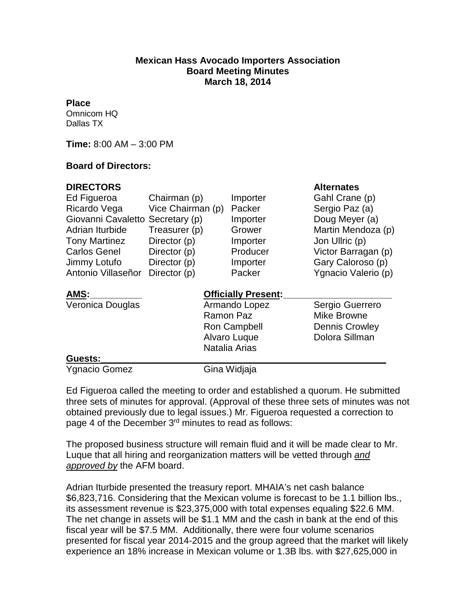## **Mexican Hass Avocado Importers Association Board Meeting Minutes March 18, 2014**

## **Place**

Omnicom HQ Dallas TX

**Time:** 8:00 AM – 3:00 PM

## **Board of Directors:**

| <b>DIRECTORS</b>     |                            |              | <b>Alternates</b>     |
|----------------------|----------------------------|--------------|-----------------------|
| Ed Figueroa          | Chairman (p)               | Importer     | Gahl Crane (p)        |
| Ricardo Vega         | Vice Chairman (p)          | Packer       | Sergio Paz (a)        |
| Giovanni Cavaletto   | Secretary (p)              | Importer     | Doug Meyer (a)        |
| Adrian Iturbide      | Treasurer (p)              | Grower       | Martin Mendoza (p)    |
| <b>Tony Martinez</b> | Director (p)               | Importer     | Jon Ullric (p)        |
| <b>Carlos Genel</b>  | Director (p)               | Producer     | Victor Barragan (p)   |
| Jimmy Lotufo         | Director (p)               | Importer     | Gary Caloroso (p)     |
| Antonio Villaseñor   | Director (p)               | Packer       | Ygnacio Valerio (p)   |
| AMS:                 | <b>Officially Present:</b> |              |                       |
| Veronica Douglas     | Armando Lopez              |              | Sergio Guerrero       |
|                      | Ramon Paz<br>Ron Campbell  |              | <b>Mike Browne</b>    |
|                      |                            |              | <b>Dennis Crowley</b> |
|                      |                            | Alvaro Luque | Dolora Sillman        |
|                      | Natalia Arias              |              |                       |
| Guests:              |                            |              |                       |
| <b>Ygnacio Gomez</b> |                            | Gina Widjaja |                       |

Ed Figueroa called the meeting to order and established a quorum. He submitted three sets of minutes for approval. (Approval of these three sets of minutes was not obtained previously due to legal issues.) Mr. Figueroa requested a correction to page 4 of the December 3rd minutes to read as follows:

The proposed business structure will remain fluid and it will be made clear to Mr. Luque that all hiring and reorganization matters will be vetted through *and approved by* the AFM board.

Adrian Iturbide presented the treasury report. MHAIA's net cash balance \$6,823,716. Considering that the Mexican volume is forecast to be 1.1 billion lbs., its assessment revenue is \$23,375,000 with total expenses equaling \$22.6 MM. The net change in assets will be \$1.1 MM and the cash in bank at the end of this fiscal year will be \$7.5 MM. Additionally, there were four volume scenarios presented for fiscal year 2014-2015 and the group agreed that the market will likely experience an 18% increase in Mexican volume or 1.3B lbs. with \$27,625,000 in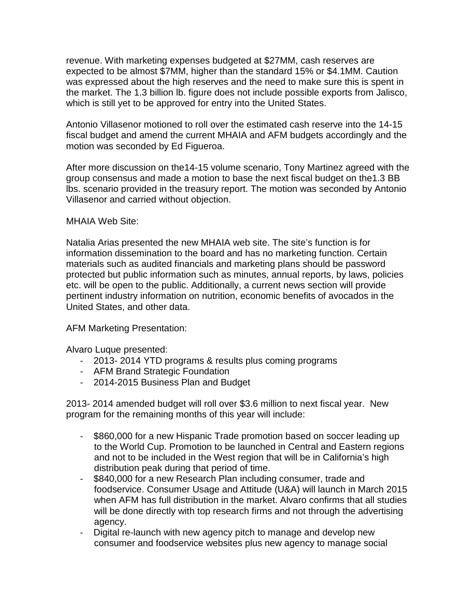revenue. With marketing expenses budgeted at \$27MM, cash reserves are expected to be almost \$7MM, higher than the standard 15% or \$4.1MM. Caution was expressed about the high reserves and the need to make sure this is spent in the market. The 1.3 billion lb. figure does not include possible exports from Jalisco, which is still yet to be approved for entry into the United States.

Antonio Villasenor motioned to roll over the estimated cash reserve into the 14-15 fiscal budget and amend the current MHAIA and AFM budgets accordingly and the motion was seconded by Ed Figueroa.

After more discussion on the14-15 volume scenario, Tony Martinez agreed with the group consensus and made a motion to base the next fiscal budget on the1.3 BB lbs. scenario provided in the treasury report. The motion was seconded by Antonio Villasenor and carried without objection.

MHAIA Web Site:

Natalia Arias presented the new MHAIA web site. The site's function is for information dissemination to the board and has no marketing function. Certain materials such as audited financials and marketing plans should be password protected but public information such as minutes, annual reports, by laws, policies etc. will be open to the public. Additionally, a current news section will provide pertinent industry information on nutrition, economic benefits of avocados in the United States, and other data.

AFM Marketing Presentation:

Alvaro Luque presented:

- 2013- 2014 YTD programs & results plus coming programs
- AFM Brand Strategic Foundation
- 2014-2015 Business Plan and Budget

2013- 2014 amended budget will roll over \$3.6 million to next fiscal year. New program for the remaining months of this year will include:

- \$860,000 for a new Hispanic Trade promotion based on soccer leading up to the World Cup. Promotion to be launched in Central and Eastern regions and not to be included in the West region that will be in California's high distribution peak during that period of time.
- \$840,000 for a new Research Plan including consumer, trade and foodservice. Consumer Usage and Attitude (U&A) will launch in March 2015 when AFM has full distribution in the market. Alvaro confirms that all studies will be done directly with top research firms and not through the advertising agency.
- Digital re-launch with new agency pitch to manage and develop new consumer and foodservice websites plus new agency to manage social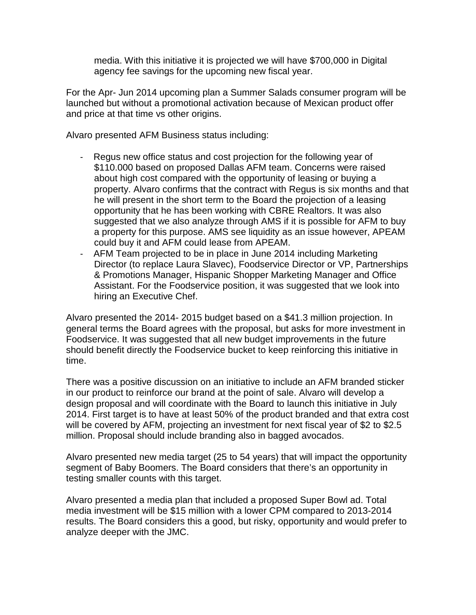media. With this initiative it is projected we will have \$700,000 in Digital agency fee savings for the upcoming new fiscal year.

For the Apr- Jun 2014 upcoming plan a Summer Salads consumer program will be launched but without a promotional activation because of Mexican product offer and price at that time vs other origins.

Alvaro presented AFM Business status including:

- Regus new office status and cost projection for the following year of \$110.000 based on proposed Dallas AFM team. Concerns were raised about high cost compared with the opportunity of leasing or buying a property. Alvaro confirms that the contract with Regus is six months and that he will present in the short term to the Board the projection of a leasing opportunity that he has been working with CBRE Realtors. It was also suggested that we also analyze through AMS if it is possible for AFM to buy a property for this purpose. AMS see liquidity as an issue however, APEAM could buy it and AFM could lease from APEAM.
- AFM Team projected to be in place in June 2014 including Marketing Director (to replace Laura Slavec), Foodservice Director or VP, Partnerships & Promotions Manager, Hispanic Shopper Marketing Manager and Office Assistant. For the Foodservice position, it was suggested that we look into hiring an Executive Chef.

Alvaro presented the 2014- 2015 budget based on a \$41.3 million projection. In general terms the Board agrees with the proposal, but asks for more investment in Foodservice. It was suggested that all new budget improvements in the future should benefit directly the Foodservice bucket to keep reinforcing this initiative in time.

There was a positive discussion on an initiative to include an AFM branded sticker in our product to reinforce our brand at the point of sale. Alvaro will develop a design proposal and will coordinate with the Board to launch this initiative in July 2014. First target is to have at least 50% of the product branded and that extra cost will be covered by AFM, projecting an investment for next fiscal year of \$2 to \$2.5 million. Proposal should include branding also in bagged avocados.

Alvaro presented new media target (25 to 54 years) that will impact the opportunity segment of Baby Boomers. The Board considers that there's an opportunity in testing smaller counts with this target.

Alvaro presented a media plan that included a proposed Super Bowl ad. Total media investment will be \$15 million with a lower CPM compared to 2013-2014 results. The Board considers this a good, but risky, opportunity and would prefer to analyze deeper with the JMC.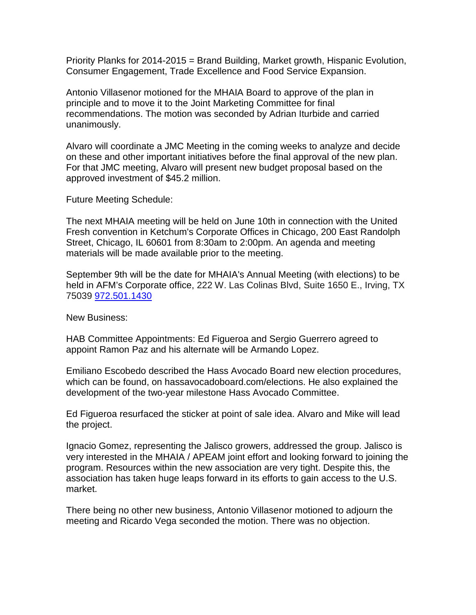Priority Planks for 2014-2015 = Brand Building, Market growth, Hispanic Evolution, Consumer Engagement, Trade Excellence and Food Service Expansion.

Antonio Villasenor motioned for the MHAIA Board to approve of the plan in principle and to move it to the Joint Marketing Committee for final recommendations. The motion was seconded by Adrian Iturbide and carried unanimously.

Alvaro will coordinate a JMC Meeting in the coming weeks to analyze and decide on these and other important initiatives before the final approval of the new plan. For that JMC meeting, Alvaro will present new budget proposal based on the approved investment of \$45.2 million.

Future Meeting Schedule:

The next MHAIA meeting will be held on June 10th in connection with the United Fresh convention in Ketchum's Corporate Offices in Chicago, 200 East Randolph Street, Chicago, IL 60601 from 8:30am to 2:00pm. An agenda and meeting materials will be made available prior to the meeting.

September 9th will be the date for MHAIA's Annual Meeting (with elections) to be held in AFM's Corporate office, 222 W. Las Colinas Blvd, Suite 1650 E., Irving, TX 75039 [972.501.1430](tel:%5C972.501.1430)

New Business:

HAB Committee Appointments: Ed Figueroa and Sergio Guerrero agreed to appoint Ramon Paz and his alternate will be Armando Lopez.

Emiliano Escobedo described the Hass Avocado Board new election procedures, which can be found, on hassavocadoboard.com/elections. He also explained the development of the two-year milestone Hass Avocado Committee.

Ed Figueroa resurfaced the sticker at point of sale idea. Alvaro and Mike will lead the project.

Ignacio Gomez, representing the Jalisco growers, addressed the group. Jalisco is very interested in the MHAIA / APEAM joint effort and looking forward to joining the program. Resources within the new association are very tight. Despite this, the association has taken huge leaps forward in its efforts to gain access to the U.S. market.

There being no other new business, Antonio Villasenor motioned to adjourn the meeting and Ricardo Vega seconded the motion. There was no objection.